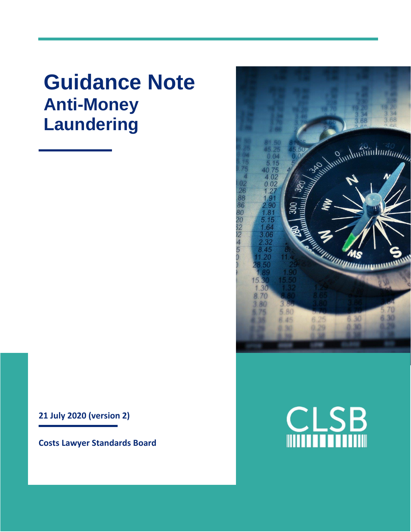# **Guidance Note Anti-Money Laundering**

**21 July 2020 (version 2)**

**Costs Lawyer Standards Board**



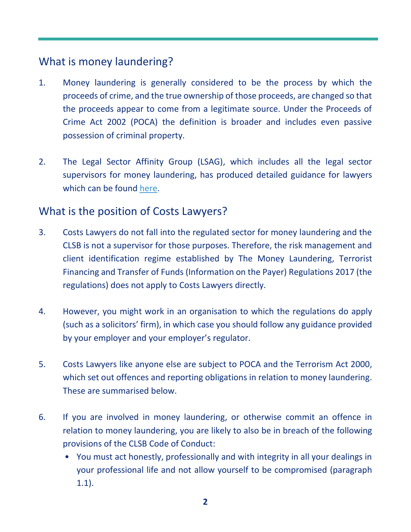# What is money laundering?

- 1. Money laundering is generally considered to be the process by which the proceeds of crime, and the true ownership of those proceeds, are changed so that the proceeds appear to come from a legitimate source. Under the Proceeds of Crime Act 2002 (POCA) the definition is broader and includes even passive possession of criminal property.
- 2. The Legal Sector Affinity Group (LSAG), which includes all the legal sector supervisors for money laundering, has produced detailed guidance for lawyers which can be found [here.](https://clsb.info/wp-content/uploads/2020/07/lsag-aml-guidance-updated-feb-2019.pdf)

## What is the position of Costs Lawyers?

- 3. Costs Lawyers do not fall into the regulated sector for money laundering and the CLSB is not a supervisor for those purposes. Therefore, the risk management and client identification regime established by The Money Laundering, Terrorist Financing and Transfer of Funds (Information on the Payer) Regulations 2017 (the regulations) does not apply to Costs Lawyers directly.
- 4. However, you might work in an organisation to which the regulations do apply (such as a solicitors' firm), in which case you should follow any guidance provided by your employer and your employer's regulator.
- 5. Costs Lawyers like anyone else are subject to POCA and the Terrorism Act 2000, which set out offences and reporting obligations in relation to money laundering. These are summarised below.
- 6. If you are involved in money laundering, or otherwise commit an offence in relation to money laundering, you are likely to also be in breach of the following provisions of the CLSB Code of Conduct:
	- You must act honestly, professionally and with integrity in all your dealings in your professional life and not allow yourself to be compromised (paragraph 1.1).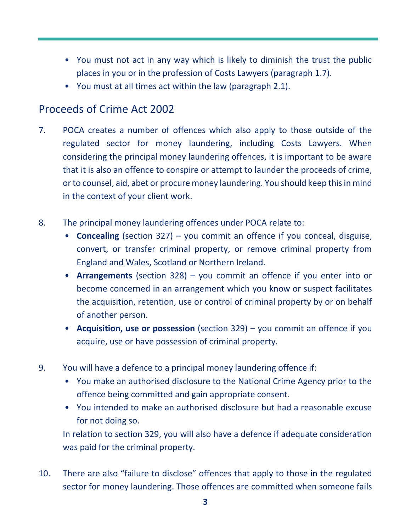- You must not act in any way which is likely to diminish the trust the public places in you or in the profession of Costs Lawyers (paragraph 1.7).
- You must at all times act within the law (paragraph 2.1).

# Proceeds of Crime Act 2002

- 7. POCA creates a number of offences which also apply to those outside of the regulated sector for money laundering, including Costs Lawyers. When considering the principal money laundering offences, it is important to be aware that it is also an offence to conspire or attempt to launder the proceeds of crime, or to counsel, aid, abet or procure money laundering. You should keep this in mind in the context of your client work.
- 8. The principal money laundering offences under POCA relate to:
	- **Concealing** (section 327) you commit an offence if you conceal, disguise, convert, or transfer criminal property, or remove criminal property from England and Wales, Scotland or Northern Ireland.
	- **Arrangements** (section 328) you commit an offence if you enter into or become concerned in an arrangement which you know or suspect facilitates the acquisition, retention, use or control of criminal property by or on behalf of another person.
	- **Acquisition, use or possession** (section 329) you commit an offence if you acquire, use or have possession of criminal property.
- 9. You will have a defence to a principal money laundering offence if:
	- You make an authorised disclosure to the National Crime Agency prior to the offence being committed and gain appropriate consent.
	- You intended to make an authorised disclosure but had a reasonable excuse for not doing so.

In relation to section 329, you will also have a defence if adequate consideration was paid for the criminal property.

10. There are also "failure to disclose" offences that apply to those in the regulated sector for money laundering. Those offences are committed when someone fails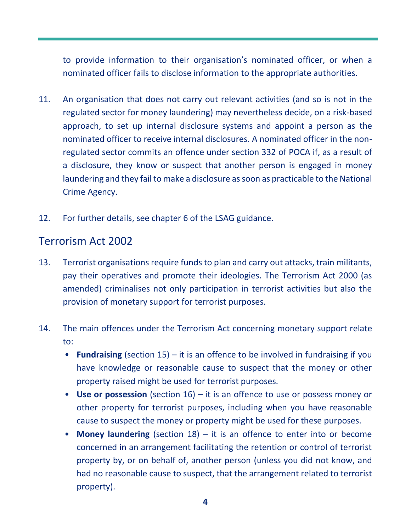to provide information to their organisation's nominated officer, or when a nominated officer fails to disclose information to the appropriate authorities.

- 11. An organisation that does not carry out relevant activities (and so is not in the regulated sector for money laundering) may nevertheless decide, on a risk-based approach, to set up internal disclosure systems and appoint a person as the nominated officer to receive internal disclosures. A nominated officer in the nonregulated sector commits an offence under section 332 of POCA if, as a result of a disclosure, they know or suspect that another person is engaged in money laundering and they fail to make a disclosure as soon as practicable to the National Crime Agency.
- 12. For further details, see chapter 6 of the LSAG guidance.

#### Terrorism Act 2002

- 13. Terrorist organisations require funds to plan and carry out attacks, train militants, pay their operatives and promote their ideologies. The Terrorism Act 2000 (as amended) criminalises not only participation in terrorist activities but also the provision of monetary support for terrorist purposes.
- 14. The main offences under the Terrorism Act concerning monetary support relate to:
	- **Fundraising** (section 15) it is an offence to be involved in fundraising if you have knowledge or reasonable cause to suspect that the money or other property raised might be used for terrorist purposes.
	- **Use or possession** (section 16) it is an offence to use or possess money or other property for terrorist purposes, including when you have reasonable cause to suspect the money or property might be used for these purposes.
	- **Money laundering** (section 18) it is an offence to enter into or become concerned in an arrangement facilitating the retention or control of terrorist property by, or on behalf of, another person (unless you did not know, and had no reasonable cause to suspect, that the arrangement related to terrorist property).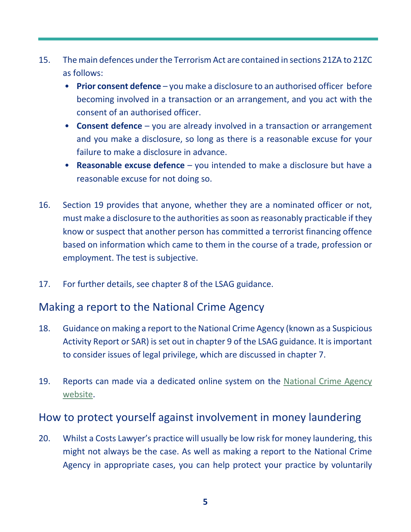- 15. The main defences under the Terrorism Act are contained in sections 21ZA to 21ZC as follows:
	- **Prior consent defence** you make a disclosure to an authorised officer before becoming involved in a transaction or an arrangement, and you act with the consent of an authorised officer.
	- **Consent defence** you are already involved in a transaction or arrangement and you make a disclosure, so long as there is a reasonable excuse for your failure to make a disclosure in advance.
	- **Reasonable excuse defence** you intended to make a disclosure but have a reasonable excuse for not doing so.
- 16. Section 19 provides that anyone, whether they are a nominated officer or not, must make a disclosure to the authorities as soon as reasonably practicable if they know or suspect that another person has committed a terrorist financing offence based on information which came to them in the course of a trade, profession or employment. The test is subjective.
- 17. For further details, see chapter 8 of the LSAG guidance.

### Making a report to the National Crime Agency

- 18. Guidance on making a report to the National Crime Agency (known as a Suspicious Activity Report or SAR) is set out in chapter 9 of the LSAG guidance. It is important to consider issues of legal privilege, which are discussed in chapter 7.
- 19. Reports can made via a dedicated online system on the National Crime Agency [website.](https://nationalcrimeagency.gov.uk/)

### How to protect yourself against involvement in money laundering

20. Whilst a Costs Lawyer's practice will usually be low risk for money laundering, this might not always be the case. As well as making a report to the National Crime Agency in appropriate cases, you can help protect your practice by voluntarily